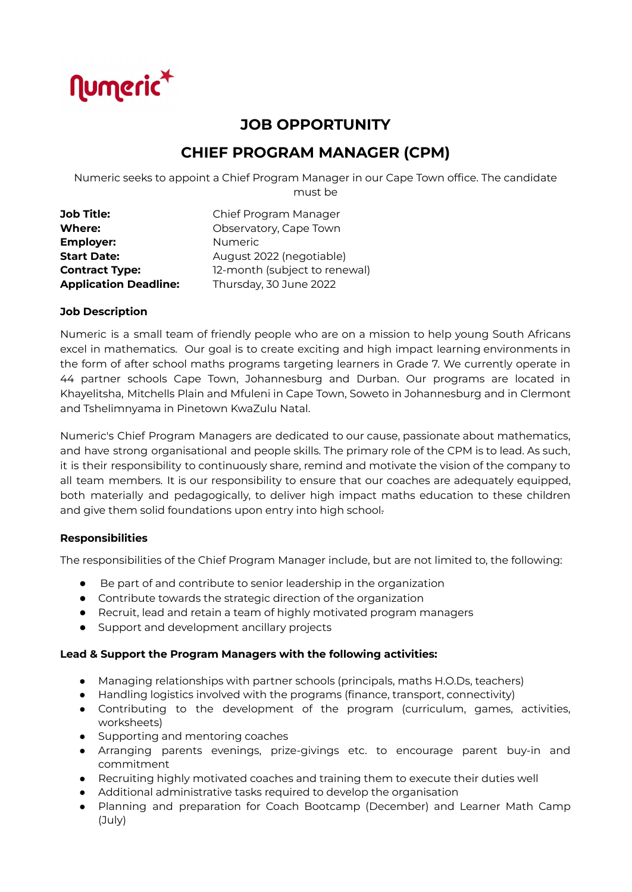

# **JOB OPPORTUNITY**

# **CHIEF PROGRAM MANAGER (CPM)**

Numeric seeks to appoint a Chief Program Manager in our Cape Town office. The candidate must be

| <b>Job Title:</b>            | Chief Program Manager         |
|------------------------------|-------------------------------|
| <b>Where:</b>                | Observatory, Cape Town        |
| <b>Employer:</b>             | <b>Numeric</b>                |
| <b>Start Date:</b>           | August 2022 (negotiable)      |
| <b>Contract Type:</b>        | 12-month (subject to renewal) |
| <b>Application Deadline:</b> | Thursday, 30 June 2022        |

## **Job Description**

Numeric is a small team of friendly people who are on a mission to help young South Africans excel in mathematics. Our goal is to create exciting and high impact learning environments in the form of after school maths programs targeting learners in Grade 7. We currently operate in 44 partner schools Cape Town, Johannesburg and Durban. Our programs are located in Khayelitsha, Mitchells Plain and Mfuleni in Cape Town, Soweto in Johannesburg and in Clermont and Tshelimnyama in Pinetown KwaZulu Natal.

Numeric's Chief Program Managers are dedicated to our cause, passionate about mathematics, and have strong organisational and people skills. The primary role of the CPM is to lead. As such, it is their responsibility to continuously share, remind and motivate the vision of the company to all team members. It is our responsibility to ensure that our coaches are adequately equipped, both materially and pedagogically, to deliver high impact maths education to these children and give them solid foundations upon entry into high school.

#### **Responsibilities**

The responsibilities of the Chief Program Manager include, but are not limited to, the following:

- Be part of and contribute to senior leadership in the organization
- Contribute towards the strategic direction of the organization
- Recruit, lead and retain a team of highly motivated program managers
- Support and development ancillary projects

#### **Lead & Support the Program Managers with the following activities:**

- Managing relationships with partner schools (principals, maths H.O.Ds, teachers)
- Handling logistics involved with the programs (finance, transport, connectivity)
- Contributing to the development of the program (curriculum, games, activities, worksheets)
- Supporting and mentoring coaches
- Arranging parents evenings, prize-givings etc. to encourage parent buy-in and commitment
- Recruiting highly motivated coaches and training them to execute their duties well
- Additional administrative tasks required to develop the organisation
- Planning and preparation for Coach Bootcamp (December) and Learner Math Camp (July)